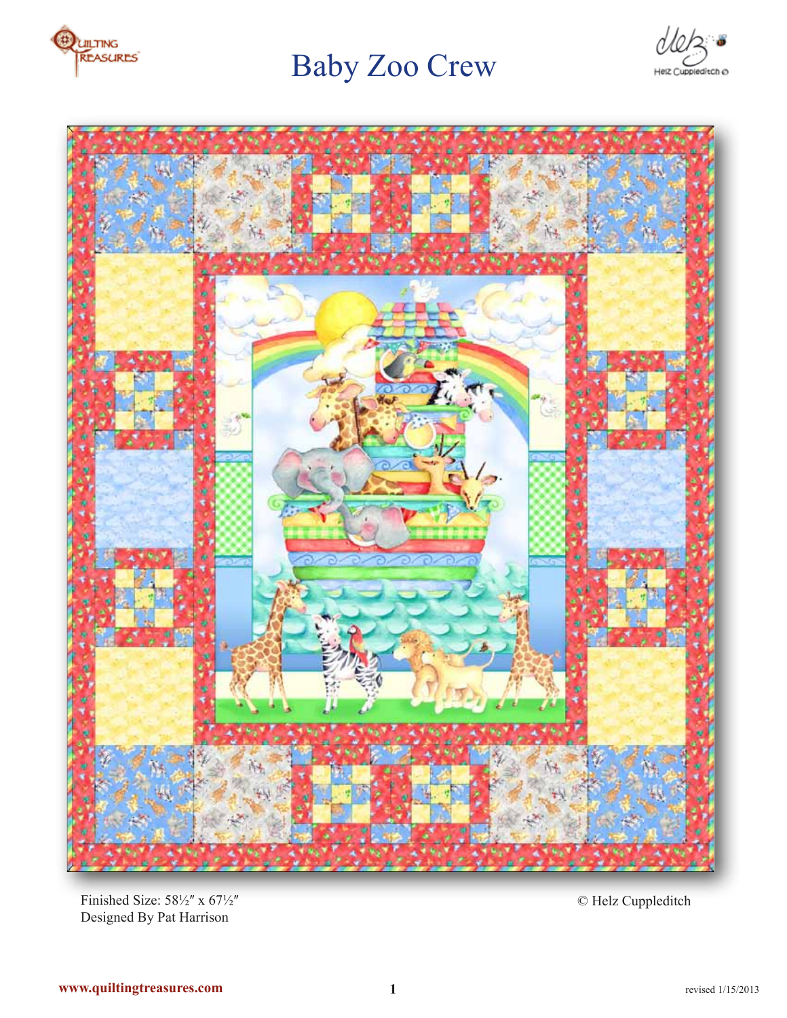

# Baby Zoo Crew





Finished Size:  $58\frac{1}{2}$ " x  $67\frac{1}{2}$ " Designed By Pat Harrison

© Helz Cuppleditch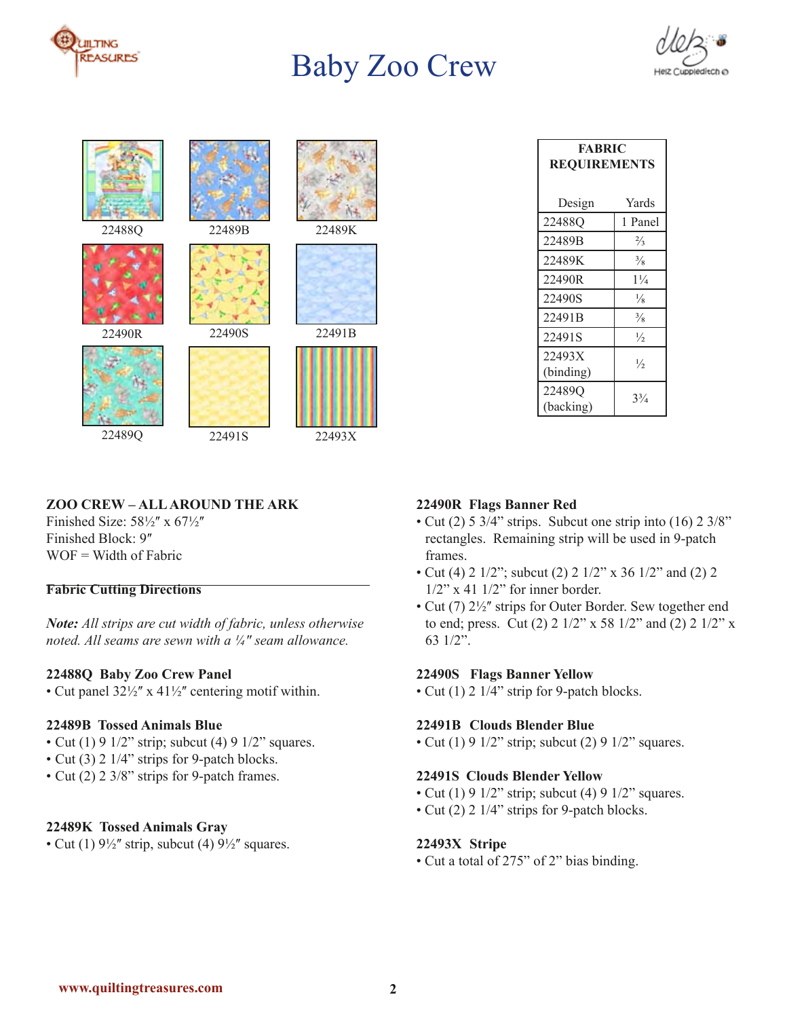

## Baby Zoo Crew



| 22488Q | 22489B | 22489K |
|--------|--------|--------|
| 22490R | 22490S | 22491B |
|        |        |        |

22491S

22489Q

22493X

## **ZOO CREW – ALL AROUND THE ARK**

Finished Size:  $58\frac{1}{2}$ " x  $67\frac{1}{2}$ " Finished Block: 9"  $WOF = Width of Fabric$ 

### **Fabric Cutting Directions**

*Note: All strips are cut width of fabric, unless otherwise noted. All seams are sewn with a ¼ʺ seam allowance.*

#### **22488Q Baby Zoo Crew Panel**

• Cut panel  $32\frac{1}{2}$ " x  $41\frac{1}{2}$ " centering motif within.

#### **22489B Tossed Animals Blue**

- Cut (1) 9  $1/2$ " strip; subcut (4) 9  $1/2$ " squares.
- Cut (3) 2 1/4" strips for 9-patch blocks.
- Cut (2) 2 3/8" strips for 9-patch frames.

#### **22489K Tossed Animals Gray**

• Cut (1)  $9\frac{1}{2}$ " strip, subcut (4)  $9\frac{1}{2}$ " squares.

| <b>FABRIC</b><br><b>REQUIREMENTS</b> |                |  |  |
|--------------------------------------|----------------|--|--|
| Design                               | Yards          |  |  |
| 22488O                               | 1 Panel        |  |  |
| 22489B                               | $\frac{2}{3}$  |  |  |
| 22489K                               | $\frac{3}{8}$  |  |  |
| 22490R                               | $1\frac{1}{4}$ |  |  |
| 22490S                               | $\frac{1}{8}$  |  |  |
| 22491B                               | $\frac{3}{8}$  |  |  |
| 22491S                               | $\frac{1}{2}$  |  |  |
| 22493X<br>(binding)                  | $\frac{1}{2}$  |  |  |
| 22489Q<br>(backing)                  | $3^{3}/_{4}$   |  |  |

#### **22490R Flags Banner Red**

- Cut (2) 5 3/4" strips. Subcut one strip into (16) 2 3/8" rectangles. Remaining strip will be used in 9-patch frames.
- Cut (4) 2 1/2"; subcut (2) 2 1/2" x 36 1/2" and (2) 2 1/2" x 41 1/2" for inner border.
- Cut (7)  $2\frac{1}{2}$ " strips for Outer Border. Sew together end to end; press. Cut (2) 2 1/2" x 58 1/2" and (2) 2 1/2" x 63 1/2".

#### **22490S Flags Banner Yellow**

• Cut (1) 2 1/4" strip for 9-patch blocks.

#### **22491B Clouds Blender Blue**

• Cut (1) 9  $1/2$ " strip; subcut (2) 9  $1/2$ " squares.

#### **22491S Clouds Blender Yellow**

- Cut (1) 9 1/2" strip; subcut (4) 9 1/2" squares.
- Cut (2) 2 1/4" strips for 9-patch blocks.

#### **22493X Stripe**

• Cut a total of 275" of 2" bias binding.